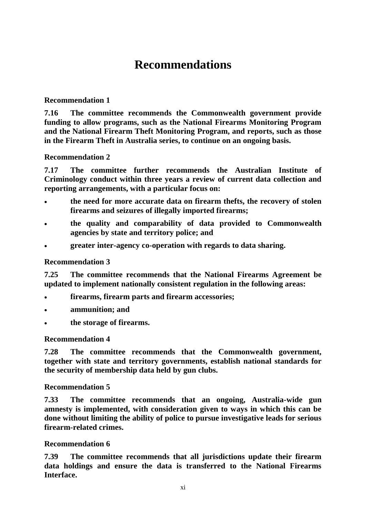# **Recommendations**

## **Recommendation 1**

**7.16 The committee recommends the Commonwealth government provide funding to allow programs, such as the National Firearms Monitoring Program and the National Firearm Theft Monitoring Program, and reports, such as those in the Firearm Theft in Australia series, to continue on an ongoing basis.**

## **Recommendation 2**

**7.17 The committee further recommends the Australian Institute of Criminology conduct within three years a review of current data collection and reporting arrangements, with a particular focus on:**

- **the need for more accurate data on firearm thefts, the recovery of stolen firearms and seizures of illegally imported firearms;**
- **the quality and comparability of data provided to Commonwealth agencies by state and territory police; and**
- **greater inter-agency co-operation with regards to data sharing.**

### **Recommendation 3**

**7.25 The committee recommends that the National Firearms Agreement be updated to implement nationally consistent regulation in the following areas:** 

- **firearms, firearm parts and firearm accessories;**
- **ammunition; and**
- **the storage of firearms.**

## **Recommendation 4**

**7.28 The committee recommends that the Commonwealth government, together with state and territory governments, establish national standards for the security of membership data held by gun clubs.**

#### **Recommendation 5**

**7.33 The committee recommends that an ongoing, Australia-wide gun amnesty is implemented, with consideration given to ways in which this can be done without limiting the ability of police to pursue investigative leads for serious firearm-related crimes.**

#### **Recommendation 6**

**7.39 The committee recommends that all jurisdictions update their firearm data holdings and ensure the data is transferred to the National Firearms Interface.**